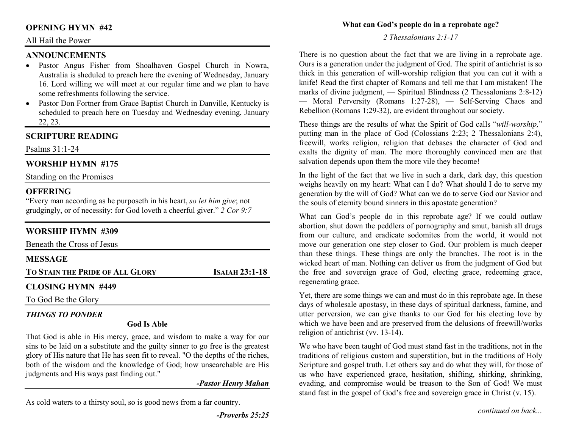## **OPENING HYMN #42**

#### All Hail the Power

## **ANNOUNCEMENTS**

- Pastor Angus Fisher from Shoalhaven Gospel Church in Nowra, •Australia is sheduled to preach here the evening of Wednesday, January 16. Lord willing we will meet at our regular time and we plan to have some refreshments following the service.
- Pastor Don Fortner from Grace Baptist Church in Danville, Kentucky is scheduled to preach here on Tuesday and Wednesday evening, January 22, 23.

# **SCRIPTURE READING**

Psalms 31:1-24

# **WORSHIP HYMN #175**

Standing on the Promises

# **OFFERING**

 "Every man according as he purposeth in his heart, *so let him give*; not grudgingly, or of necessity: for God loveth a cheerful giver." *2 Cor 9:7*

# **WORSHIP HYMN #309**

| Beneath the Cross of Jesus             |                       |
|----------------------------------------|-----------------------|
| <b>MESSAGE</b>                         |                       |
| <b>TO STAIN THE PRIDE OF ALL GLORY</b> | <b>ISAIAH 23:1-18</b> |
| <b>CLOSING HYMN #449</b>               |                       |
| To God Be the Glory                    |                       |

# *THINGS TO PONDER*

#### **God Is Able**

That God is able in His mercy, grace, and wisdom to make a way for our sins to be laid on a substitute and the guilty sinner to go free is the greatest glory of His nature that He has seen fit to reveal. "O the depths of the riches, both of the wisdom and the knowledge of God; how unsearchable are His judgments and His ways past finding out."

*-Pastor Henry Mahan* 

As cold waters to a thirsty soul, so is good news from a far country.

#### **What can God's people do in a reprobate age?**

*2 Thessalonians 2:1-17*

There is no question about the fact that we are living in a reprobate age. Ours is a generation under the judgment of God. The spirit of antichrist is so thick in this generation of will-worship religion that you can cut it with a knife! Read the first chapter of Romans and tell me that I am mistaken! The marks of divine judgment, — Spiritual Blindness (2 Thessalonians 2:8-12) — Moral Perversity (Romans 1:27-28), — Self-Serving Chaos and Rebellion (Romans 1:29-32), are evident throughout our society.

These things are the results of what the Spirit of God calls "*will-worship,*" putting man in the place of God (Colossians 2:23; 2 Thessalonians 2:4), freewill, works religion, religion that debases the character of God and exalts the dignity of man. The more thoroughly convinced men are that salvation depends upon them the more vile they become!

In the light of the fact that we live in such a dark, dark day, this question weighs heavily on my heart: What can I do? What should I do to serve my generation by the will of God? What can we do to serve God our Savior and the souls of eternity bound sinners in this apostate generation?

What can God's people do in this reprobate age? If we could outlaw abortion, shut down the peddlers of pornography and smut, banish all drugs from our culture, and eradicate sodomites from the world, it would not move our generation one step closer to God. Our problem is much deeper than these things. These things are only the branches. The root is in the wicked heart of man. Nothing can deliver us from the judgment of God but the free and sovereign grace of God, electing grace, redeeming grace, regenerating grace.

Yet, there are some things we can and must do in this reprobate age. In these days of wholesale apostasy, in these days of spiritual darkness, famine, and utter perversion, we can give thanks to our God for his electing love by which we have been and are preserved from the delusions of freewill/works religion of antichrist (vv. 13-14).

We who have been taught of God must stand fast in the traditions, not in the traditions of religious custom and superstition, but in the traditions of Holy Scripture and gospel truth. Let others say and do what they will, for those of us who have experienced grace, hesitation, shifting, shirking, shrinking, evading, and compromise would be treason to the Son of God! We must stand fast in the gospel of God's free and sovereign grace in Christ (v. 15).